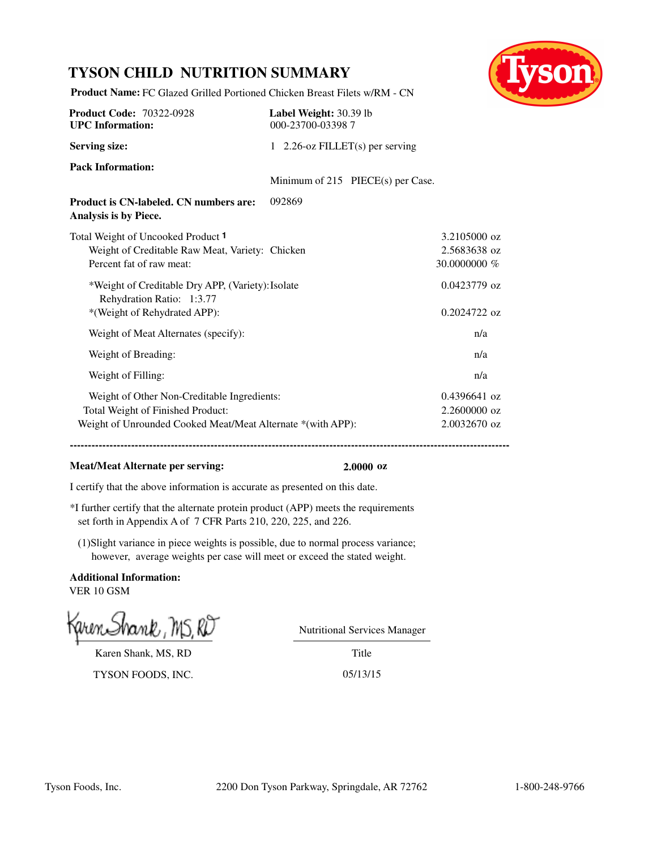# **TYSON CHILD NUTRITION SUMMARY**



**Product Name:** FC Glazed Grilled Portioned Chicken Breast Filets w/RM - CN

| <b>Product Code: 70322-0928</b><br><b>UPC</b> Information:                                                                                      | Label Weight: 30.39 lb<br>000-23700-033987 |                                                  |
|-------------------------------------------------------------------------------------------------------------------------------------------------|--------------------------------------------|--------------------------------------------------|
| <b>Serving size:</b>                                                                                                                            | 1 2.26-oz FILLET(s) per serving            |                                                  |
| <b>Pack Information:</b>                                                                                                                        | Minimum of 215 PIECE(s) per Case.          |                                                  |
| <b>Product is CN-labeled. CN numbers are:</b><br>Analysis is by Piece.                                                                          | 092869                                     |                                                  |
| Total Weight of Uncooked Product 1<br>Weight of Creditable Raw Meat, Variety: Chicken<br>Percent fat of raw meat:                               |                                            | 3.2105000 oz<br>2.5683638 oz<br>30.0000000 %     |
| *Weight of Creditable Dry APP, (Variety): Isolate<br>Rehydration Ratio: 1:3.77<br>*(Weight of Rehydrated APP):                                  |                                            | $0.0423779$ oz<br>$0.2024722$ oz                 |
| Weight of Meat Alternates (specify):                                                                                                            |                                            | n/a                                              |
| Weight of Breading:                                                                                                                             |                                            | n/a                                              |
| Weight of Filling:                                                                                                                              |                                            | n/a                                              |
| Weight of Other Non-Creditable Ingredients:<br>Total Weight of Finished Product:<br>Weight of Unrounded Cooked Meat/Meat Alternate *(with APP): |                                            | $0.4396641$ oz<br>$2.2600000$ oz<br>2.0032670 oz |

### **Meat/Meat Alternate per serving: 2.0000 oz**

**------------------------------------------------------------------------------------------------------------------------------------------**

I certify that the above information is accurate as presented on this date.

\*I further certify that the alternate protein product (APP) meets the requirements set forth in Appendix A of 7 CFR Parts 210, 220, 225, and 226.

(1)Slight variance in piece weights is possible, due to normal process variance; however, average weights per case will meet or exceed the stated weight.

**Additional Information:** VER 10 GSM

Karen Shank, MS, RD

TYSON FOODS, INC. 05/13/15

Nutritional Services Manager

Title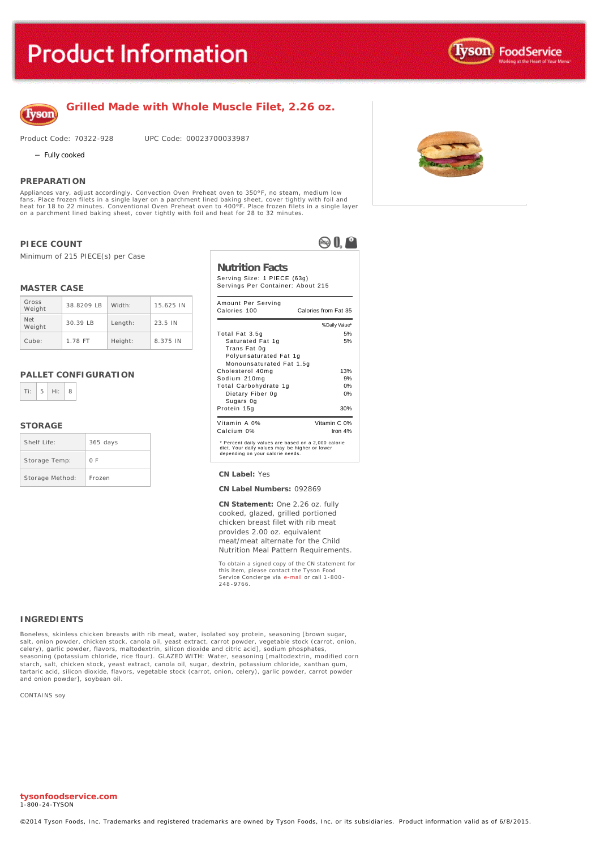

### **Grilled Made with Whole Muscle Filet, 2.26 oz.**

Product Code: 70322-928 UPC Code: 00023700033987

- Fully cooked

#### **PREPARATION**

Appliances vary, adjust accordingly. Convection Oven Preheat oven to 350°F, no steam, medium low<br>fans. Place frozen filets in a single layer on a parchment lined baking sheet, cover tightly with foil and<br>heat for 18 to 22 on a parchment lined baking sheet, cover tightly with foil and heat for 28 to 32 minutes.

#### **PIECE COUNT**

Minimum of 215 PIECE(s) per Case

#### **MASTER CASE**

| Gross<br>Weight      | 38.8209 LB | Width:  | 15.625 IN |
|----------------------|------------|---------|-----------|
| <b>Net</b><br>Weight | $30.39$ IB | Length: | 23.5 IN   |
| Cube:                | 1.78 FT    | Height: | 8.375 IN  |

#### **PALLET CONFIGURATION**



#### **STORAGE**

| Shelf Life:     | $365$ days |
|-----------------|------------|
| Storage Temp:   | 0 F        |
| Storage Method: | Frozen     |



 $\otimes 0.$ 

| Amount Per Serving<br>Calories 100                                                                                                        | Calories from Fat 35      |
|-------------------------------------------------------------------------------------------------------------------------------------------|---------------------------|
|                                                                                                                                           | % Daily Value*            |
| Total Fat 3.5g                                                                                                                            | 5%                        |
| Saturated Fat 1g<br>Trans Fat 0g<br>Polyunsaturated Fat 1g                                                                                | 5%                        |
| Monounsaturated Fat 1.5g                                                                                                                  |                           |
| Cholesterol 40mg                                                                                                                          | 13%                       |
| Sodium 210mg                                                                                                                              | 9%                        |
| Total Carbohydrate 1g                                                                                                                     | 0%                        |
| Dietary Fiber 0g<br>Sugars Og                                                                                                             | 0%                        |
| Protein 15g                                                                                                                               | 30%                       |
| Vitamin A 0%<br>Calcium 0%                                                                                                                | Vitamin C 0%<br>Iron $4%$ |
| * Percent daily values are based on a 2,000 calorie<br>diet. Your daily values may be higher or lower<br>depending on your calorie needs. |                           |

#### Storage Method: Frozen **CN Label:** Yes

#### **CN Label Numbers:** 092869

**CN Statement:** One 2.26 oz. fully cooked, glazed, grilled portioned chicken breast filet with rib meat provides 2.00 oz. equivalent meat/meat alternate for the Child Nutrition Meal Pattern Requirements.

To obtain a signed copy of the CN statement for this item, please contact the Tyson Food Service Concierge via [e-mail](mailto:fscomments@tyson.com) or call 1-800 - 248 -9766.

#### **INGREDIENTS**

Boneless, skinless chicken breasts with rib meat, water, isolated soy protein, seasoning [brown sugar, salt, onion powder, chicken stock, canola oil, yeast extract, carrot powder, vegetable stock (carrot, onion,<br>celery), garlic powder, flavors, maltodextrin, silicon dioxide and citric acid], sodium phosphates, seasoning (potassium chloride, rice flour). GLAZED WITH: Water, seasoning [maltodextrin, modified corn starch, salt, chicken stock, yeast extract, canola oil, sugar, dextrin, potassium chloride, xanthan gum, tartaric acid, silicon dioxide, flavors, vegetable stock (carrot, onion, celery), garlic powder, carrot powder and onion powder], soybean oil.

CONTAINS soy



**tysonfoodservice.com** 1-800-24-TYSON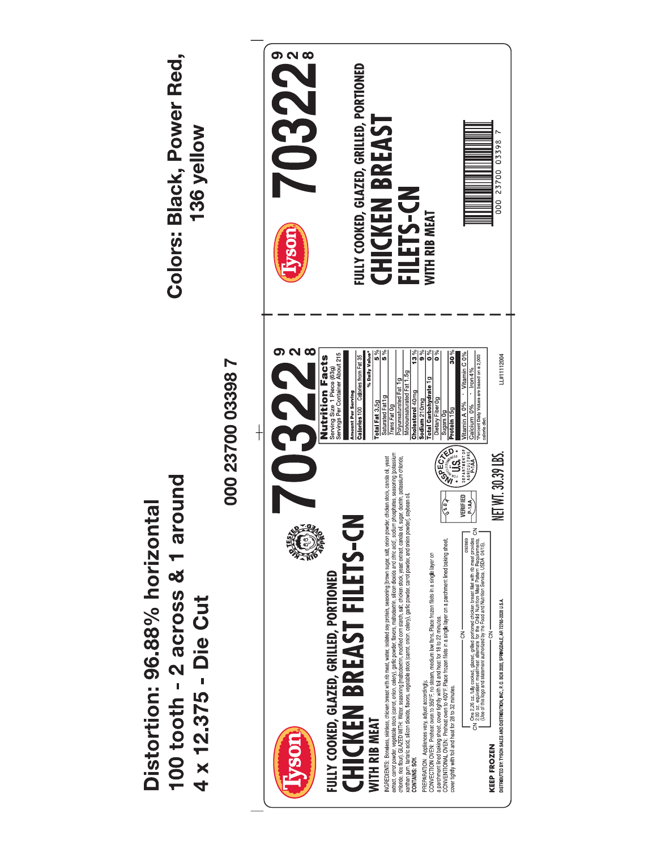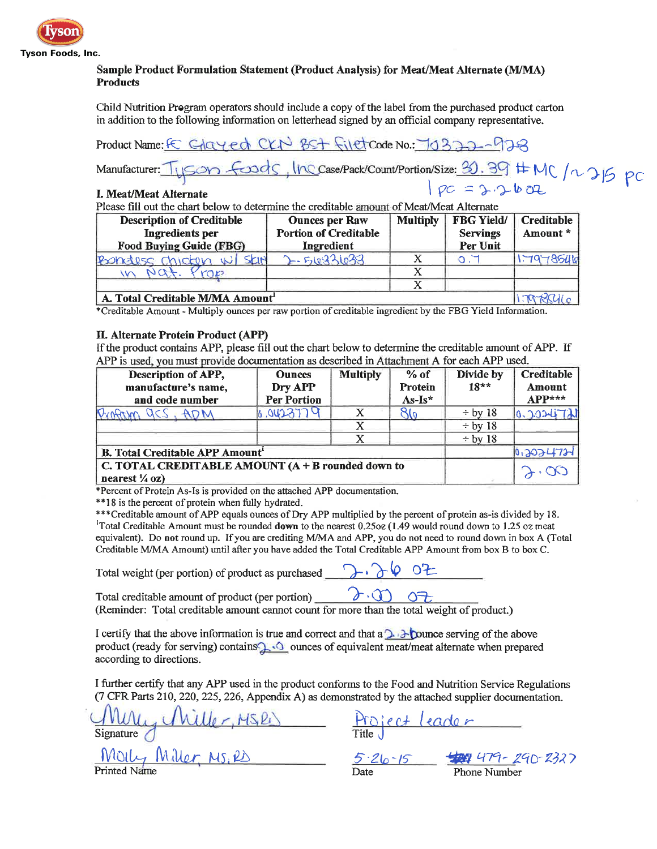

### Sample Product Formulation Statement (Product Analysis) for Meat/Meat Alternate (M/MA) **Products**

Child Nutrition Program operators should include a copy of the label from the purchased product carton in addition to the following information on letterhead signed by an official company representative.

CKN BST filetcode No. 70322-928 Product Name:  $\in$   $G$  $G$  $H$  $H$  $H$ 

### I. Meat/Meat Alternate

Please fill out the chart below to determine the creditable amount of Meat/Meat Alternate

| <b>Description of Creditable</b><br><b>Ingredients</b> per<br><b>Food Buying Guide (FBG)</b> | <b>Ounces per Raw</b><br><b>Portion of Creditable</b><br>Ingredient | <b>Multiply</b> | <b>FBG Yield/</b><br><b>Servings</b><br>Per Unit | Creditable<br>Amount * |
|----------------------------------------------------------------------------------------------|---------------------------------------------------------------------|-----------------|--------------------------------------------------|------------------------|
| Bonders chicken w<br>SKIN                                                                    | 2-510821022                                                         |                 |                                                  |                        |
|                                                                                              |                                                                     |                 |                                                  |                        |
|                                                                                              |                                                                     |                 |                                                  |                        |
| A. Total Creditable M/MA Amount                                                              |                                                                     |                 |                                                  |                        |

\*Creditable Amount - Multiply ounces per raw portion of creditable ingredient by the FBG Yield Information.

### **II. Alternate Protein Product (APP)**

If the product contains APP, please fill out the chart below to determine the creditable amount of APP. If APP is used, you must provide documentation as described in Attachment A for each APP used.

| Description of APP,<br>manufacture's name,<br>and code number                    | <b>Ounces</b><br>Dry APP<br><b>Per Portion</b> | <b>Multiply</b> | $%$ of<br>Protein<br>$As-Is*$ | Divide by<br>$18**$ | Creditable<br>Amount<br>$APP***$ |
|----------------------------------------------------------------------------------|------------------------------------------------|-----------------|-------------------------------|---------------------|----------------------------------|
| Ovafor<br>acs, ADM                                                               | 4.0423779                                      |                 | 7۱۵                           | $\div$ by 18        | 0.2024721                        |
|                                                                                  |                                                |                 |                               | $\div$ by 18        |                                  |
|                                                                                  |                                                | X               |                               | $\div$ by 18        |                                  |
| <b>B. Total Creditable APP Amount<sup>1</sup></b>                                |                                                |                 |                               |                     | 10.2024721                       |
| C. TOTAL CREDITABLE AMOUNT $(A + B$ rounded down to<br>nearest $\frac{1}{4}$ oz) |                                                |                 |                               |                     |                                  |

\*Percent of Protein As-Is is provided on the attached APP documentation.

\*\*18 is the percent of protein when fully hydrated.

\*\*\*Creditable amount of APP equals ounces of Dry APP multiplied by the percent of protein as-is divided by 18. <sup>1</sup>Total Creditable Amount must be rounded down to the nearest 0.25oz (1.49 would round down to 1.25 oz meat equivalent). Do not round up. If you are crediting M/MA and APP, you do not need to round down in box A (Total Creditable M/MA Amount) until after you have added the Total Creditable APP Amount from box B to box C.

Total weight (per portion) of product as purchased

Total creditable amount of product (per portion)  $2.00$ (Reminder: Total creditable amount cannot count for more than the total weight of product.)

I certify that the above information is true and correct and that a  $\sum$  D punce serving of the above product (ready for serving) contains of squivalent meat/meat alternate when prepared according to directions.

I further certify that any APP used in the product conforms to the Food and Nutrition Service Regulations (7 CFR Parts 210, 220, 225, 226, Appendix A) as demonstrated by the attached supplier documentation.

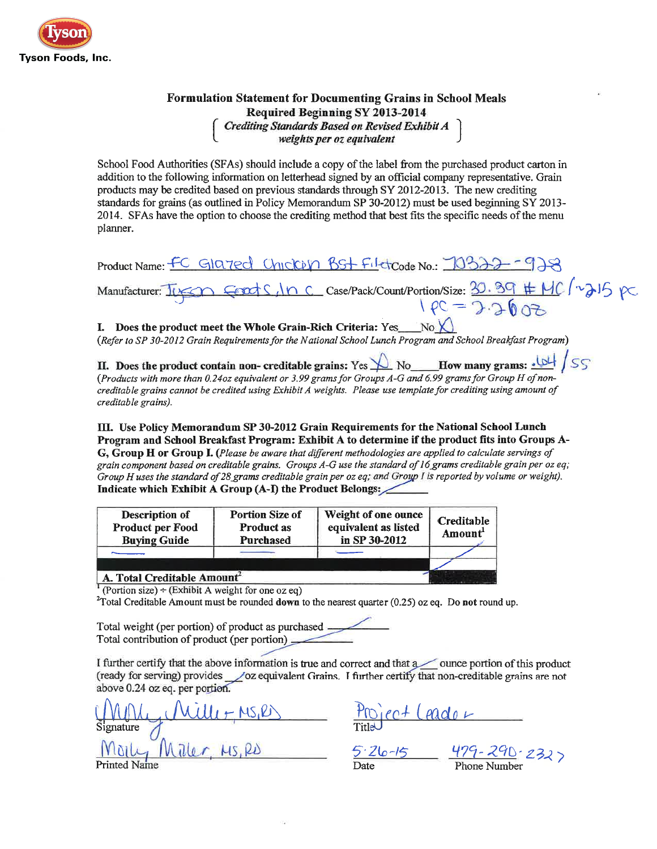

# **Formulation Statement for Documenting Grains in School Meals** Required Beginning SY 2013-2014 Crediting Standards Based on Revised Exhibit A<br>weights per oz equivalent

School Food Authorities (SFAs) should include a copy of the label from the purchased product carton in addition to the following information on letterhead signed by an official company representative. Grain products may be credited based on previous standards through SY 2012-2013. The new crediting standards for grains (as outlined in Policy Memorandum SP 30-2012) must be used beginning SY 2013-2014. SFAs have the option to choose the crediting method that best fits the specific needs of the menu planner.

Product Name: FC GIQ7ed Chickers BSt Filetcode No.: 10322-928 Manufacturer: ILSON CEDES, INC Case/Pack/Count/Portion/Size: 30.39 #MC/215 pc

## I. Does the product meet the Whole Grain-Rich Criteria: Yes  $N_0$

(Refer to SP 30-2012 Grain Requirements for the National School Lunch Program and School Breakfast Program)

II. Does the product contain non- creditable grains: Yes  $\bigvee$  No How many grams:  $\underline{\bigcup}$  / SS (Products with more than 0.24oz equivalent or 3.99 grams for Groups A-G and 6.99 grams for Group H of noncreditable grains cannot be credited using Exhibit A weights. Please use template for crediting using amount of creditable grains).

III. Use Policy Memorandum SP 30-2012 Grain Requirements for the National School Lunch Program and School Breakfast Program: Exhibit A to determine if the product fits into Groups A-G. Group H or Group I. (Please be aware that different methodologies are applied to calculate servings of grain component based on creditable grains. Groups A-G use the standard of 16 grams creditable grain per oz eq; Group H uses the standard of 28 grams creditable grain per oz eq; and Group I is reported by volume or weight). Indicate which Exhibit A Group (A-I) the Product Belongs:

| <b>Description of</b><br><b>Product per Food</b><br><b>Buying Guide</b> | <b>Portion Size of</b><br><b>Product as</b><br>Purchased | Weight of one ounce<br>equivalent as listed<br>in SP 30-2012 | Creditable<br>Amount |
|-------------------------------------------------------------------------|----------------------------------------------------------|--------------------------------------------------------------|----------------------|
|                                                                         |                                                          |                                                              |                      |
| A. Total Creditable Amount <sup>2</sup>                                 |                                                          |                                                              |                      |

Portion size) ÷ (Exhibit A weight for one oz eq)

 $2$ Total Creditable Amount must be rounded down to the nearest quarter (0.25) oz eq. Do not round up.

Total weight (per portion) of product as purchased Total contribution of product (per portion)

I further certify that the above information is true and correct and that a ounce portion of this product (ready for serving) provides oz equivalent Grains. I further certify that non-creditable grains are not above 0.24 oz eq. per portion.

 $\frac{10\mu\mu\mu\mu\mu\mu\eta\mu\Omega}{1000}$   $\frac{10\mu\mu\mu\mu\eta\mu\Omega}{1000}$   $\frac{5.26-15}{24}$   $\frac{479-290}{232}$  $S$ ignature  $\sqrt{ }$ **Printed Name**